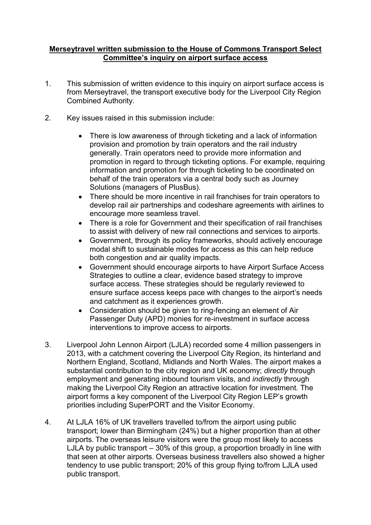## **Merseytravel written submission to the House of Commons Transport Select Committee's inquiry on airport surface access**

- 1. This submission of written evidence to this inquiry on airport surface access is from Merseytravel, the transport executive body for the Liverpool City Region Combined Authority.
- 2. Key issues raised in this submission include:
	- There is low awareness of through ticketing and a lack of information provision and promotion by train operators and the rail industry generally. Train operators need to provide more information and promotion in regard to through ticketing options. For example, requiring information and promotion for through ticketing to be coordinated on behalf of the train operators via a central body such as Journey Solutions (managers of PlusBus).
	- There should be more incentive in rail franchises for train operators to develop rail air partnerships and codeshare agreements with airlines to encourage more seamless travel.
	- There is a role for Government and their specification of rail franchises to assist with delivery of new rail connections and services to airports.
	- Government, through its policy frameworks, should actively encourage modal shift to sustainable modes for access as this can help reduce both congestion and air quality impacts.
	- Government should encourage airports to have Airport Surface Access Strategies to outline a clear, evidence based strategy to improve surface access. These strategies should be regularly reviewed to ensure surface access keeps pace with changes to the airport's needs and catchment as it experiences growth.
	- Consideration should be given to ring-fencing an element of Air Passenger Duty (APD) monies for re-investment in surface access interventions to improve access to airports.
- 3. Liverpool John Lennon Airport (LJLA) recorded some 4 million passengers in 2013, with a catchment covering the Liverpool City Region, its hinterland and Northern England, Scotland, Midlands and North Wales. The airport makes a substantial contribution to the city region and UK economy; *directly* through employment and generating inbound tourism visits, and *indirectly* through making the Liverpool City Region an attractive location for investment. The airport forms a key component of the Liverpool City Region LEP's growth priorities including SuperPORT and the Visitor Economy.
- 4. At LJLA 16% of UK travellers travelled to/from the airport using public transport; lower than Birmingham (24%) but a higher proportion than at other airports. The overseas leisure visitors were the group most likely to access LJLA by public transport – 30% of this group, a proportion broadly in line with that seen at other airports. Overseas business travellers also showed a higher tendency to use public transport; 20% of this group flying to/from LJLA used public transport.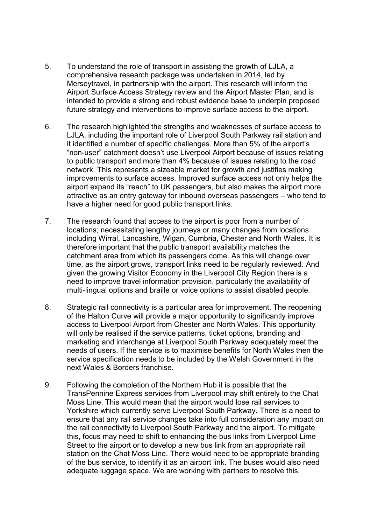- 5. To understand the role of transport in assisting the growth of LJLA, a comprehensive research package was undertaken in 2014, led by Merseytravel, in partnership with the airport. This research will inform the Airport Surface Access Strategy review and the Airport Master Plan, and is intended to provide a strong and robust evidence base to underpin proposed future strategy and interventions to improve surface access to the airport.
- 6. The research highlighted the strengths and weaknesses of surface access to LJLA, including the important role of Liverpool South Parkway rail station and it identified a number of specific challenges. More than 5% of the airport's "non-user" catchment doesn't use Liverpool Airport because of issues relating to public transport and more than 4% because of issues relating to the road network. This represents a sizeable market for growth and justifies making improvements to surface access. Improved surface access not only helps the airport expand its "reach" to UK passengers, but also makes the airport more attractive as an entry gateway for inbound overseas passengers – who tend to have a higher need for good public transport links.
- 7. The research found that access to the airport is poor from a number of locations; necessitating lengthy journeys or many changes from locations including Wirral, Lancashire, Wigan, Cumbria, Chester and North Wales. It is therefore important that the public transport availability matches the catchment area from which its passengers come. As this will change over time, as the airport grows, transport links need to be regularly reviewed. And given the growing Visitor Economy in the Liverpool City Region there is a need to improve travel information provision, particularly the availability of multi-lingual options and braille or voice options to assist disabled people.
- 8. Strategic rail connectivity is a particular area for improvement. The reopening of the Halton Curve will provide a major opportunity to significantly improve access to Liverpool Airport from Chester and North Wales. This opportunity will only be realised if the service patterns, ticket options, branding and marketing and interchange at Liverpool South Parkway adequately meet the needs of users. If the service is to maximise benefits for North Wales then the service specification needs to be included by the Welsh Government in the next Wales & Borders franchise.
- 9. Following the completion of the Northern Hub it is possible that the TransPennine Express services from Liverpool may shift entirely to the Chat Moss Line. This would mean that the airport would lose rail services to Yorkshire which currently serve Liverpool South Parkway. There is a need to ensure that any rail service changes take into full consideration any impact on the rail connectivity to Liverpool South Parkway and the airport. To mitigate this, focus may need to shift to enhancing the bus links from Liverpool Lime Street to the airport or to develop a new bus link from an appropriate rail station on the Chat Moss Line. There would need to be appropriate branding of the bus service, to identify it as an airport link. The buses would also need adequate luggage space. We are working with partners to resolve this.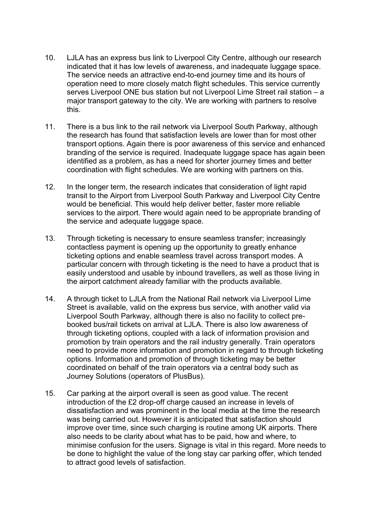- 10. LJLA has an express bus link to Liverpool City Centre, although our research indicated that it has low levels of awareness, and inadequate luggage space. The service needs an attractive end-to-end journey time and its hours of operation need to more closely match flight schedules. This service currently serves Liverpool ONE bus station but not Liverpool Lime Street rail station – a major transport gateway to the city. We are working with partners to resolve this.
- 11. There is a bus link to the rail network via Liverpool South Parkway, although the research has found that satisfaction levels are lower than for most other transport options. Again there is poor awareness of this service and enhanced branding of the service is required. Inadequate luggage space has again been identified as a problem, as has a need for shorter journey times and better coordination with flight schedules. We are working with partners on this.
- 12. In the longer term, the research indicates that consideration of light rapid transit to the Airport from Liverpool South Parkway and Liverpool City Centre would be beneficial. This would help deliver better, faster more reliable services to the airport. There would again need to be appropriate branding of the service and adequate luggage space.
- 13. Through ticketing is necessary to ensure seamless transfer; increasingly contactless payment is opening up the opportunity to greatly enhance ticketing options and enable seamless travel across transport modes. A particular concern with through ticketing is the need to have a product that is easily understood and usable by inbound travellers, as well as those living in the airport catchment already familiar with the products available.
- 14. A through ticket to LJLA from the National Rail network via Liverpool Lime Street is available, valid on the express bus service, with another valid via Liverpool South Parkway, although there is also no facility to collect prebooked bus/rail tickets on arrival at LJLA. There is also low awareness of through ticketing options, coupled with a lack of information provision and promotion by train operators and the rail industry generally. Train operators need to provide more information and promotion in regard to through ticketing options. Information and promotion of through ticketing may be better coordinated on behalf of the train operators via a central body such as Journey Solutions (operators of PlusBus).
- 15. Car parking at the airport overall is seen as good value. The recent introduction of the £2 drop-off charge caused an increase in levels of dissatisfaction and was prominent in the local media at the time the research was being carried out. However it is anticipated that satisfaction should improve over time, since such charging is routine among UK airports. There also needs to be clarity about what has to be paid, how and where, to minimise confusion for the users. Signage is vital in this regard. More needs to be done to highlight the value of the long stay car parking offer, which tended to attract good levels of satisfaction.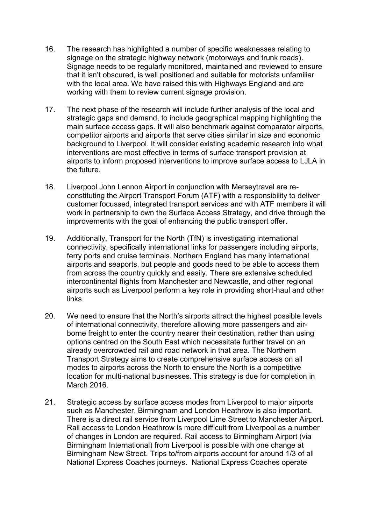- 16. The research has highlighted a number of specific weaknesses relating to signage on the strategic highway network (motorways and trunk roads). Signage needs to be regularly monitored, maintained and reviewed to ensure that it isn't obscured, is well positioned and suitable for motorists unfamiliar with the local area. We have raised this with Highways England and are working with them to review current signage provision.
- 17. The next phase of the research will include further analysis of the local and strategic gaps and demand, to include geographical mapping highlighting the main surface access gaps. It will also benchmark against comparator airports, competitor airports and airports that serve cities similar in size and economic background to Liverpool. It will consider existing academic research into what interventions are most effective in terms of surface transport provision at airports to inform proposed interventions to improve surface access to LJLA in the future.
- 18. Liverpool John Lennon Airport in conjunction with Merseytravel are reconstituting the Airport Transport Forum (ATF) with a responsibility to deliver customer focussed, integrated transport services and with ATF members it will work in partnership to own the Surface Access Strategy, and drive through the improvements with the goal of enhancing the public transport offer.
- 19. Additionally, Transport for the North (TfN) is investigating international connectivity, specifically international links for passengers including airports, ferry ports and cruise terminals. Northern England has many international airports and seaports, but people and goods need to be able to access them from across the country quickly and easily. There are extensive scheduled intercontinental flights from Manchester and Newcastle, and other regional airports such as Liverpool perform a key role in providing short-haul and other links.
- 20. We need to ensure that the North's airports attract the highest possible levels of international connectivity, therefore allowing more passengers and airborne freight to enter the country nearer their destination, rather than using options centred on the South East which necessitate further travel on an already overcrowded rail and road network in that area. The Northern Transport Strategy aims to create comprehensive surface access on all modes to airports across the North to ensure the North is a competitive location for multi-national businesses. This strategy is due for completion in March 2016.
- 21. Strategic access by surface access modes from Liverpool to major airports such as Manchester, Birmingham and London Heathrow is also important. There is a direct rail service from Liverpool Lime Street to Manchester Airport. Rail access to London Heathrow is more difficult from Liverpool as a number of changes in London are required. Rail access to Birmingham Airport (via Birmingham International) from Liverpool is possible with one change at Birmingham New Street. Trips to/from airports account for around 1/3 of all National Express Coaches journeys. National Express Coaches operate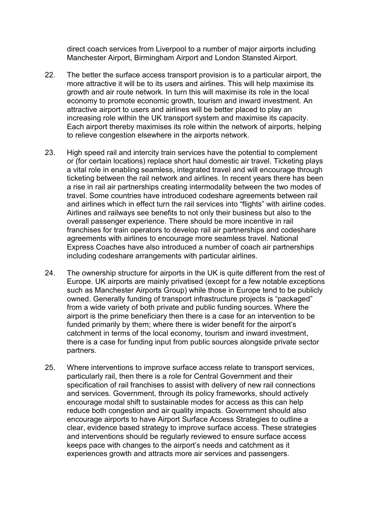direct coach services from Liverpool to a number of major airports including Manchester Airport, Birmingham Airport and London Stansted Airport.

- 22. The better the surface access transport provision is to a particular airport, the more attractive it will be to its users and airlines. This will help maximise its growth and air route network. In turn this will maximise its role in the local economy to promote economic growth, tourism and inward investment. An attractive airport to users and airlines will be better placed to play an increasing role within the UK transport system and maximise its capacity. Each airport thereby maximises its role within the network of airports, helping to relieve congestion elsewhere in the airports network.
- 23. High speed rail and intercity train services have the potential to complement or (for certain locations) replace short haul domestic air travel. Ticketing plays a vital role in enabling seamless, integrated travel and will encourage through ticketing between the rail network and airlines. In recent years there has been a rise in rail air partnerships creating intermodality between the two modes of travel. Some countries have introduced codeshare agreements between rail and airlines which in effect turn the rail services into "flights" with airline codes. Airlines and railways see benefits to not only their business but also to the overall passenger experience. There should be more incentive in rail franchises for train operators to develop rail air partnerships and codeshare agreements with airlines to encourage more seamless travel. National Express Coaches have also introduced a number of coach air partnerships including codeshare arrangements with particular airlines.
- 24. The ownership structure for airports in the UK is quite different from the rest of Europe. UK airports are mainly privatised (except for a few notable exceptions such as Manchester Airports Group) while those in Europe tend to be publicly owned. Generally funding of transport infrastructure projects is "packaged" from a wide variety of both private and public funding sources. Where the airport is the prime beneficiary then there is a case for an intervention to be funded primarily by them; where there is wider benefit for the airport's catchment in terms of the local economy, tourism and inward investment, there is a case for funding input from public sources alongside private sector partners.
- 25. Where interventions to improve surface access relate to transport services, particularly rail, then there is a role for Central Government and their specification of rail franchises to assist with delivery of new rail connections and services. Government, through its policy frameworks, should actively encourage modal shift to sustainable modes for access as this can help reduce both congestion and air quality impacts. Government should also encourage airports to have Airport Surface Access Strategies to outline a clear, evidence based strategy to improve surface access. These strategies and interventions should be regularly reviewed to ensure surface access keeps pace with changes to the airport's needs and catchment as it experiences growth and attracts more air services and passengers.